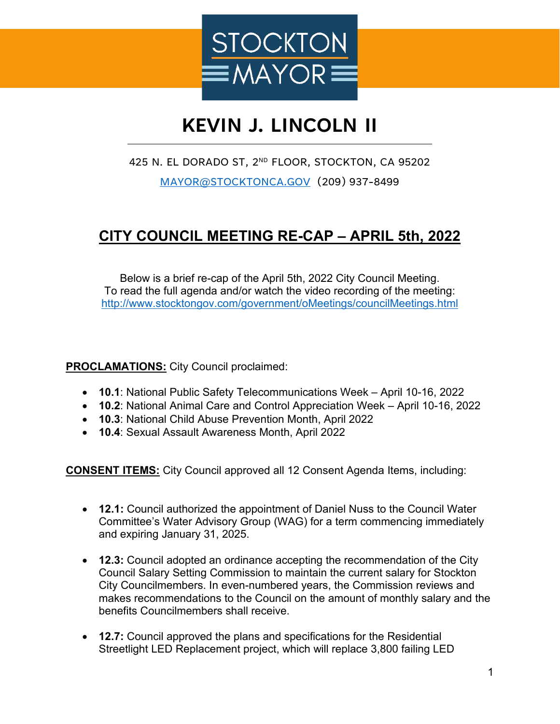

# **KEVIN J. LINCOLN II**

### 425 N. EL DORADO ST, 2ND FLOOR, STOCKTON, CA 95202

[MAYOR@STOCKTONCA.GOV](mailto:MAYOR@STOCKTONCA.GOV) (209) 937-8499

## **CITY COUNCIL MEETING RE-CAP – APRIL 5th, 2022**

Below is a brief re-cap of the April 5th, 2022 City Council Meeting. To read the full agenda and/or watch the video recording of the meeting: <http://www.stocktongov.com/government/oMeetings/councilMeetings.html>

### **PROCLAMATIONS:** City Council proclaimed:

- **10.1**: National Public Safety Telecommunications Week April 10-16, 2022
- **10.2**: National Animal Care and Control Appreciation Week April 10-16, 2022
- **10.3**: National Child Abuse Prevention Month, April 2022
- **10.4**: Sexual Assault Awareness Month, April 2022

**CONSENT ITEMS:** City Council approved all 12 Consent Agenda Items, including:

- **12.1:** Council authorized the appointment of Daniel Nuss to the Council Water Committee's Water Advisory Group (WAG) for a term commencing immediately and expiring January 31, 2025.
- **12.3:** Council adopted an ordinance accepting the recommendation of the City Council Salary Setting Commission to maintain the current salary for Stockton City Councilmembers. In even-numbered years, the Commission reviews and makes recommendations to the Council on the amount of monthly salary and the benefits Councilmembers shall receive.
- **12.7:** Council approved the plans and specifications for the Residential Streetlight LED Replacement project, which will replace 3,800 failing LED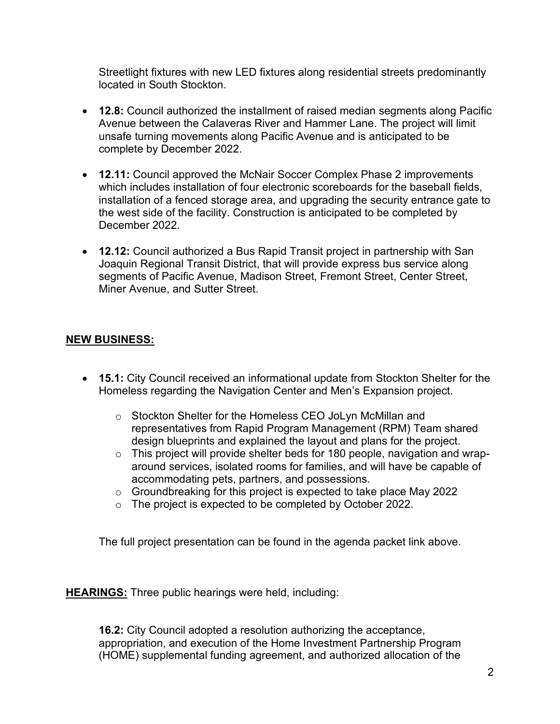Streetlight fixtures with new LED fixtures along residential streets predominantly located in South Stockton.

- **12.8:** Council authorized the installment of raised median segments along Pacific Avenue between the Calaveras River and Hammer Lane. The project will limit unsafe turning movements along Pacific Avenue and is anticipated to be complete by December 2022.
- **12.11:** Council approved the McNair Soccer Complex Phase 2 improvements which includes installation of four electronic scoreboards for the baseball fields, installation of a fenced storage area, and upgrading the security entrance gate to the west side of the facility. Construction is anticipated to be completed by December 2022.
- **12.12:** Council authorized a Bus Rapid Transit project in partnership with San Joaquin Regional Transit District, that will provide express bus service along segments of Pacific Avenue, Madison Street, Fremont Street, Center Street, Miner Avenue, and Sutter Street.

### **NEW BUSINESS:**

- **15.1:** City Council received an informational update from Stockton Shelter for the Homeless regarding the Navigation Center and Men's Expansion project.
	- o Stockton Shelter for the Homeless CEO JoLyn McMillan and representatives from Rapid Program Management (RPM) Team shared design blueprints and explained the layout and plans for the project.
	- o This project will provide shelter beds for 180 people, navigation and wraparound services, isolated rooms for families, and will have be capable of accommodating pets, partners, and possessions.
	- o Groundbreaking for this project is expected to take place May 2022
	- o The project is expected to be completed by October 2022.

The full project presentation can be found in the agenda packet link above.

**HEARINGS:** Three public hearings were held, including:

**16.2:** City Council adopted a resolution authorizing the acceptance, appropriation, and execution of the Home Investment Partnership Program (HOME) supplemental funding agreement, and authorized allocation of the